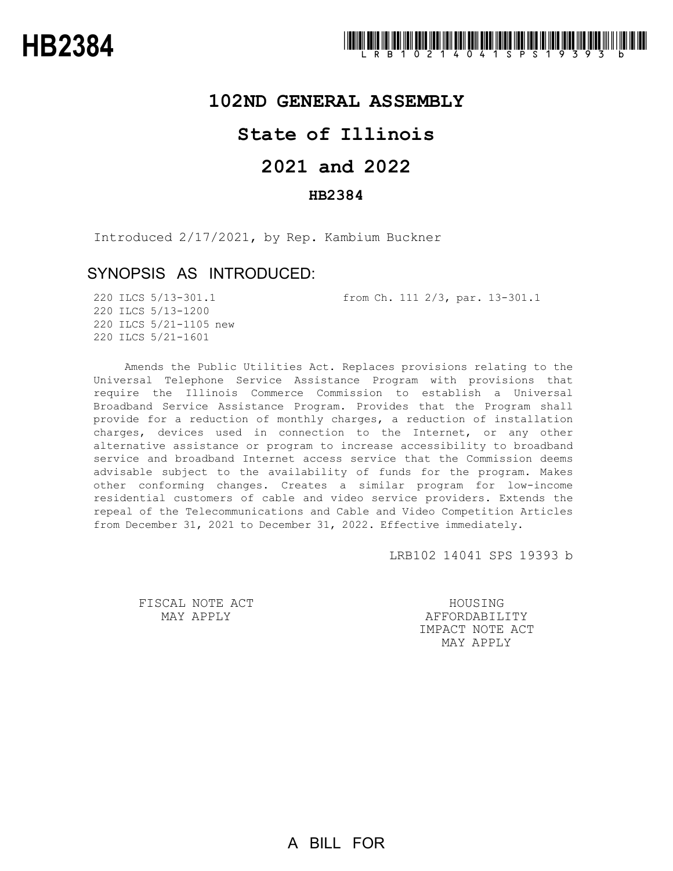# **102ND GENERAL ASSEMBLY**

# **State of Illinois**

# **2021 and 2022**

## **HB2384**

Introduced 2/17/2021, by Rep. Kambium Buckner

# SYNOPSIS AS INTRODUCED:

220 ILCS 5/13-301.1 from Ch. 111 2/3, par. 13-301.1

220 ILCS 5/13-1200 220 ILCS 5/21-1105 new 220 ILCS 5/21-1601

Amends the Public Utilities Act. Replaces provisions relating to the Universal Telephone Service Assistance Program with provisions that require the Illinois Commerce Commission to establish a Universal Broadband Service Assistance Program. Provides that the Program shall provide for a reduction of monthly charges, a reduction of installation charges, devices used in connection to the Internet, or any other alternative assistance or program to increase accessibility to broadband service and broadband Internet access service that the Commission deems advisable subject to the availability of funds for the program. Makes other conforming changes. Creates a similar program for low-income residential customers of cable and video service providers. Extends the repeal of the Telecommunications and Cable and Video Competition Articles from December 31, 2021 to December 31, 2022. Effective immediately.

LRB102 14041 SPS 19393 b

FISCAL NOTE ACT MAY APPLY

HOUSING AFFORDABILITY IMPACT NOTE ACT MAY APPLY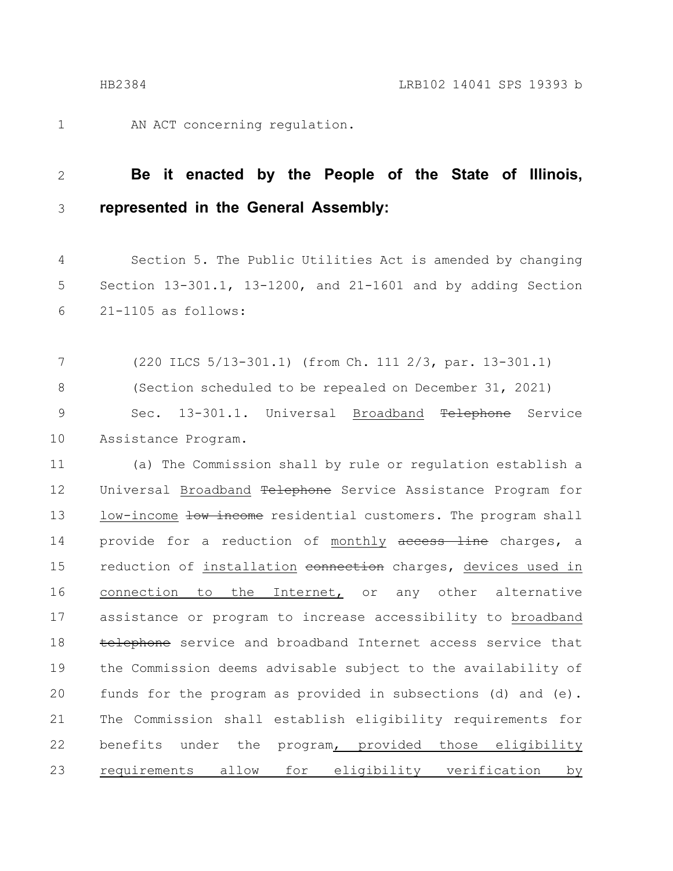1

AN ACT concerning regulation.

#### **Be it enacted by the People of the State of Illinois, represented in the General Assembly:** 2 3

Section 5. The Public Utilities Act is amended by changing Section 13-301.1, 13-1200, and 21-1601 and by adding Section 21-1105 as follows: 4 5 6

(220 ILCS 5/13-301.1) (from Ch. 111 2/3, par. 13-301.1) (Section scheduled to be repealed on December 31, 2021) Sec. 13-301.1. Universal Broadband <del>Telephone</del> Service Assistance Program. 7 8 9 10

(a) The Commission shall by rule or regulation establish a Universal Broadband Telephone Service Assistance Program for low-income low income residential customers. The program shall provide for a reduction of monthly access line charges, a reduction of installation connection charges, devices used in connection to the Internet, or any other alternative assistance or program to increase accessibility to broadband telephone service and broadband Internet access service that the Commission deems advisable subject to the availability of funds for the program as provided in subsections (d) and (e). The Commission shall establish eligibility requirements for benefits under the program, provided those eligibility requirements allow for eligibility verification by 11 12 13 14 15 16 17 18 19 20 21 22 23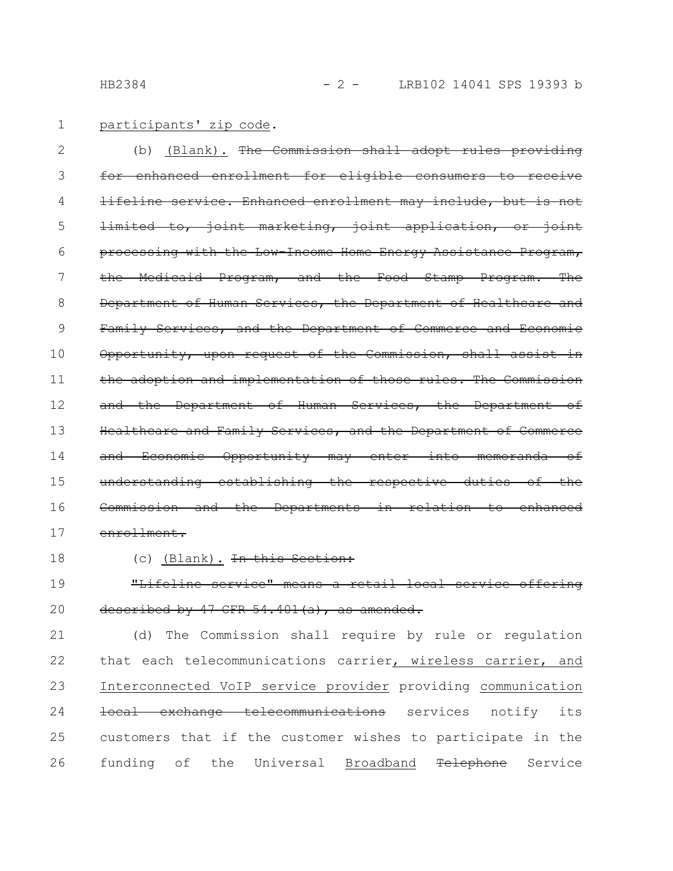participants' zip code. 1

(b) (Blank). The Commission shall adopt rules providing for enhanced enrollment for eligible consumers to receive lifeline service. Enhanced enrollment may include, but is limited to, joint marketing, joint application, or joint processing with the Low-Income Home Energy Assistance Program, the Medicaid Program, and the Food Stamp Program. The Department of Human Services, the Department of Healthcare and Family Services, and the Department of Commerce and Economic Opportunity, upon request of the Commission, shall assist in the adoption and implementation of those rules. The Commission and the Department of Human Services, the Department of Healthcare and Family Services, and the Department of Commerce and Economic Opportunity may enter into memoranda of understanding establishing the respective duties of the Commission and the Departments in relation to enhanced enrollment. 2 3 4 5 6 7 8 9 10 11 12 13 14 15 16 17

18

### (c) (Blank). <del>In this Section:</del>

"Lifeline service" means a retail local service offering described by  $47$  CFR  $54.401(a)$ , as amended. 19 20

(d) The Commission shall require by rule or regulation that each telecommunications carrier, wireless carrier, and Interconnected VoIP service provider providing communication local exchange telecommunications services notify its customers that if the customer wishes to participate in the funding of the Universal Broadband Telephone Service 21 22 23 24 25 26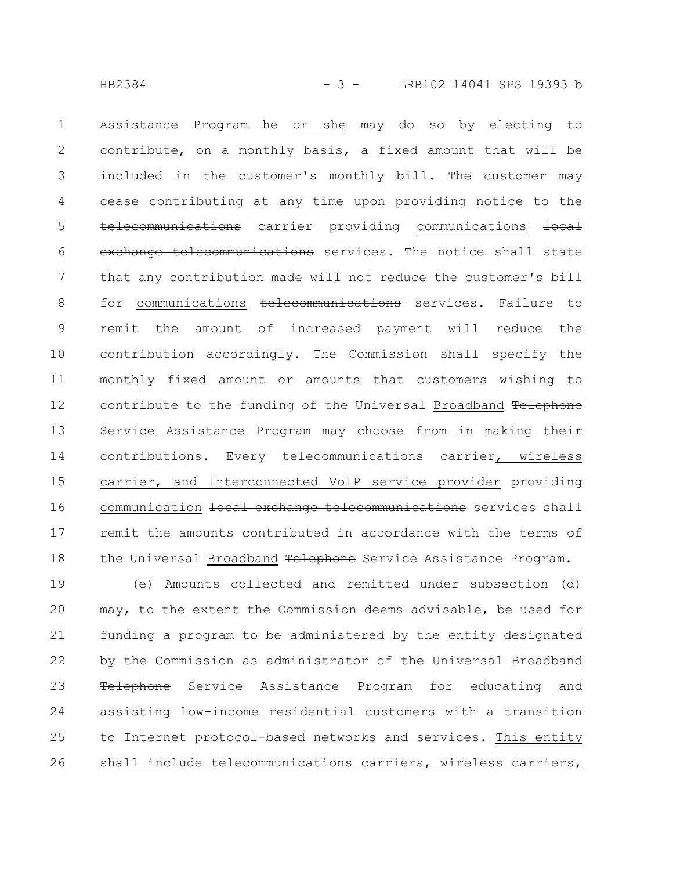Assistance Program he or she may do so by electing to contribute, on a monthly basis, a fixed amount that will be included in the customer's monthly bill. The customer may cease contributing at any time upon providing notice to the telecommunications carrier providing communications local exchange telecommunications services. The notice shall state that any contribution made will not reduce the customer's bill for communications telecommunications services. Failure to remit the amount of increased payment will reduce the contribution accordingly. The Commission shall specify the monthly fixed amount or amounts that customers wishing to contribute to the funding of the Universal Broadband Telephone Service Assistance Program may choose from in making their contributions. Every telecommunications carrier, wireless carrier, and Interconnected VoIP service provider providing communication local exchange telecommunications services shall remit the amounts contributed in accordance with the terms of the Universal Broadband Telephone Service Assistance Program. 1 2 3 4 5 6 7 8 9 10 11 12 13 14 15 16 17 18

(e) Amounts collected and remitted under subsection (d) may, to the extent the Commission deems advisable, be used for funding a program to be administered by the entity designated by the Commission as administrator of the Universal Broadband Telephone Service Assistance Program for educating and assisting low-income residential customers with a transition to Internet protocol-based networks and services. This entity shall include telecommunications carriers, wireless carriers, 19 20 21 22 23 24 25 26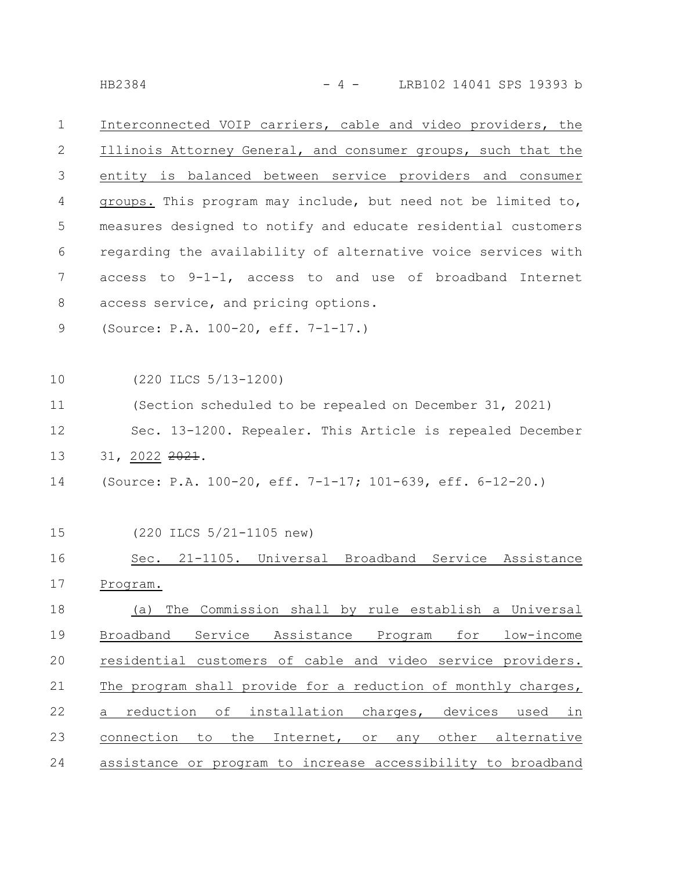HB2384 - 4 - LRB102 14041 SPS 19393 b

Interconnected VOIP carriers, cable and video providers, the Illinois Attorney General, and consumer groups, such that the entity is balanced between service providers and consumer groups. This program may include, but need not be limited to, measures designed to notify and educate residential customers regarding the availability of alternative voice services with access to 9-1-1, access to and use of broadband Internet access service, and pricing options. 1 2 3 4 5 6 7 8

(Source: P.A. 100-20, eff. 7-1-17.) 9

(220 ILCS 5/13-1200) 10

(Section scheduled to be repealed on December 31, 2021) Sec. 13-1200. Repealer. This Article is repealed December 31, 2022 2021. 11 12 13

- (Source: P.A. 100-20, eff. 7-1-17; 101-639, eff. 6-12-20.) 14
- (220 ILCS 5/21-1105 new) 15

Sec. 21-1105. Universal Broadband Service Assistance Program. (a) The Commission shall by rule establish a Universal Broadband Service Assistance Program for low-income residential customers of cable and video service providers. The program shall provide for a reduction of monthly charges, a reduction of installation charges, devices used in connection to the Internet, or any other alternative assistance or program to increase accessibility to broadband 16 17 18 19 20 21 22 23 24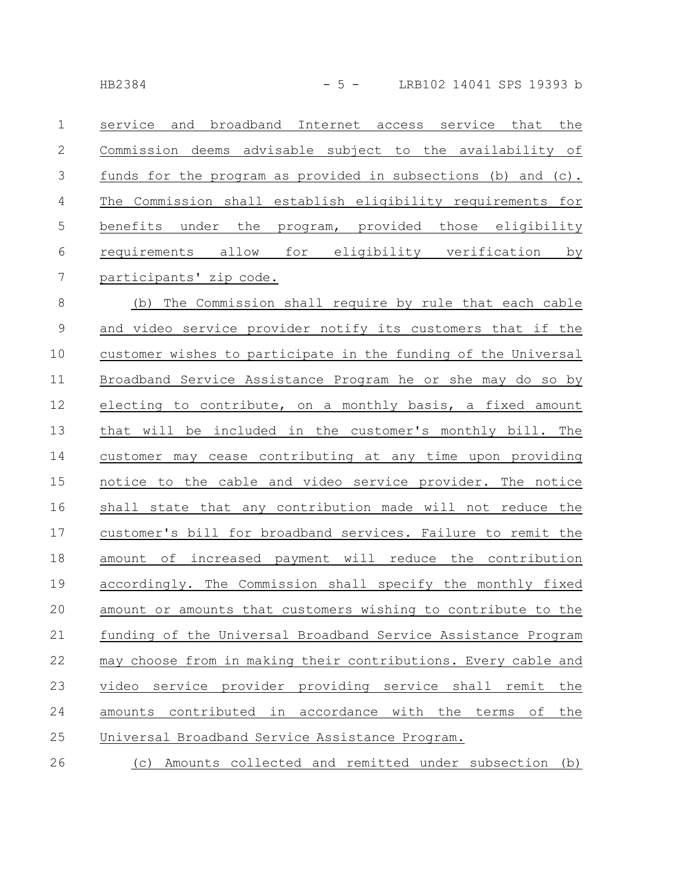| $\mathbf 1$     | service and<br>broadband Internet access service that the      |
|-----------------|----------------------------------------------------------------|
| $\mathbf{2}$    | Commission deems advisable subject to the availability of      |
| $\mathfrak{Z}$  | funds for the program as provided in subsections (b) and (c).  |
| $\overline{4}$  | The Commission shall establish eligibility requirements for    |
| 5               | benefits under the program, provided those eligibility         |
| 6               | requirements allow for eligibility verification by             |
| $7\phantom{.0}$ | participants' zip code.                                        |
| $8\,$           | (b) The Commission shall require by rule that each cable       |
| $\mathsf 9$     | and video service provider notify its customers that if the    |
| 10              | customer wishes to participate in the funding of the Universal |
| 11              | Broadband Service Assistance Program he or she may do so by    |
| 12              | electing to contribute, on a monthly basis, a fixed amount     |
| 13              | that will be included in the customer's monthly bill. The      |
| 14              | customer may cease contributing at any time upon providing     |
| 15              | notice to the cable and video service provider. The notice     |
| 16              | shall state that any contribution made will not reduce the     |
| 17              | customer's bill for broadband services. Failure to remit the   |
| 18              | amount of increased payment will reduce the contribution       |
| 19              | accordingly. The Commission shall specify the monthly fixed    |
| 20              | amount or amounts that customers wishing to contribute to the  |
| 21              | funding of the Universal Broadband Service Assistance Program  |
| 22              | may choose from in making their contributions. Every cable and |

video service provider providing service shall remit the amounts contributed in accordance with the terms of the Universal Broadband Service Assistance Program. 23 24 25

(c) Amounts collected and remitted under subsection (b) 26